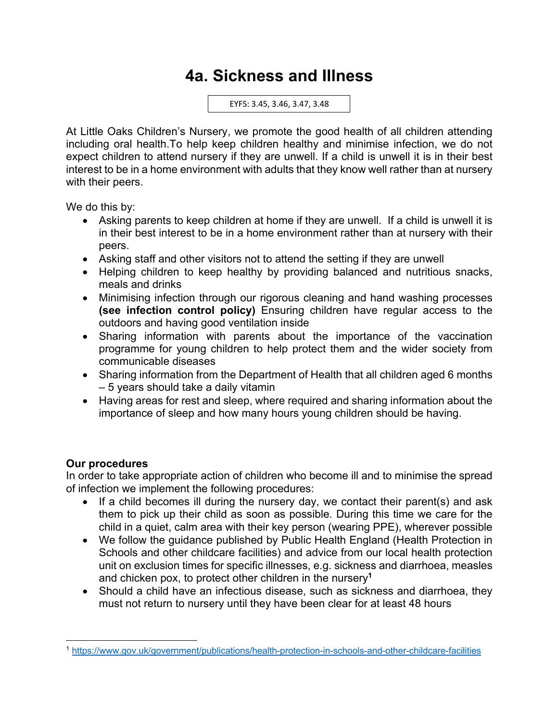# **4a. Sickness and Illness**

EYFS: 3.45, 3.46, 3.47, 3.48

At Little Oaks Children's Nursery, we promote the good health of all children attending including oral health.To help keep children healthy and minimise infection, we do not expect children to attend nursery if they are unwell. If a child is unwell it is in their best interest to be in a home environment with adults that they know well rather than at nursery with their peers.

We do this by:

- Asking parents to keep children at home if they are unwell. If a child is unwell it is in their best interest to be in a home environment rather than at nursery with their peers.
- Asking staff and other visitors not to attend the setting if they are unwell
- Helping children to keep healthy by providing balanced and nutritious snacks, meals and drinks
- Minimising infection through our rigorous cleaning and hand washing processes **(see infection control policy)** Ensuring children have regular access to the outdoors and having good ventilation inside
- Sharing information with parents about the importance of the vaccination programme for young children to help protect them and the wider society from communicable diseases
- Sharing information from the Department of Health that all children aged 6 months – 5 years should take a daily vitamin
- Having areas for rest and sleep, where required and sharing information about the importance of sleep and how many hours young children should be having.

# **Our procedures**

In order to take appropriate action of children who become ill and to minimise the spread of infection we implement the following procedures:

- If a child becomes ill during the nursery day, we contact their parent(s) and ask them to pick up their child as soon as possible. During this time we care for the child in a quiet, calm area with their key person (wearing PPE), wherever possible
- We follow the guidance published by Public Health England (Health Protection in Schools and other childcare facilities) and advice from our local health protection unit on exclusion times for specific illnesses, e.g. sickness and diarrhoea, measles and chicken pox, to protect other children in the nursery**<sup>1</sup>**
- Should a child have an infectious disease, such as sickness and diarrhoea, they must not return to nursery until they have been clear for at least 48 hours

<sup>1</sup> https://www.gov.uk/government/publications/health-protection-in-schools-and-other-childcare-facilities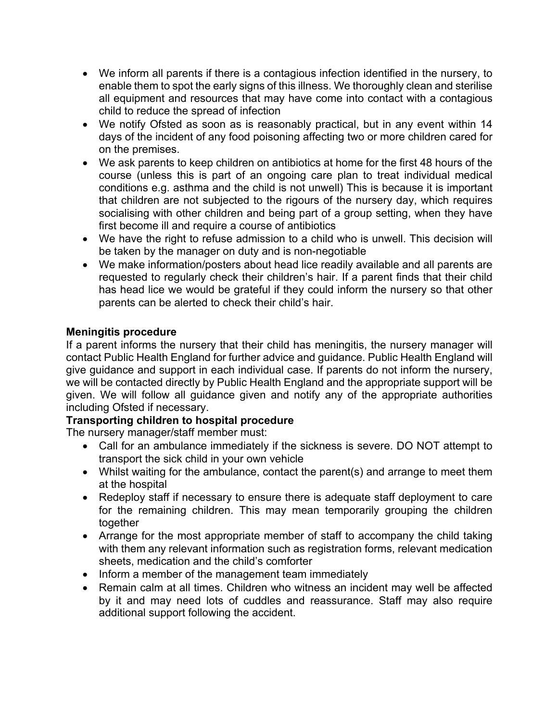- We inform all parents if there is a contagious infection identified in the nursery, to enable them to spot the early signs of this illness. We thoroughly clean and sterilise all equipment and resources that may have come into contact with a contagious child to reduce the spread of infection
- We notify Ofsted as soon as is reasonably practical, but in any event within 14 days of the incident of any food poisoning affecting two or more children cared for on the premises.
- We ask parents to keep children on antibiotics at home for the first 48 hours of the course (unless this is part of an ongoing care plan to treat individual medical conditions e.g. asthma and the child is not unwell) This is because it is important that children are not subjected to the rigours of the nursery day, which requires socialising with other children and being part of a group setting, when they have first become ill and require a course of antibiotics
- We have the right to refuse admission to a child who is unwell. This decision will be taken by the manager on duty and is non-negotiable
- We make information/posters about head lice readily available and all parents are requested to regularly check their children's hair. If a parent finds that their child has head lice we would be grateful if they could inform the nursery so that other parents can be alerted to check their child's hair.

# **Meningitis procedure**

If a parent informs the nursery that their child has meningitis, the nursery manager will contact Public Health England for further advice and guidance. Public Health England will give guidance and support in each individual case. If parents do not inform the nursery, we will be contacted directly by Public Health England and the appropriate support will be given. We will follow all guidance given and notify any of the appropriate authorities including Ofsted if necessary.

# **Transporting children to hospital procedure**

The nursery manager/staff member must:

- Call for an ambulance immediately if the sickness is severe. DO NOT attempt to transport the sick child in your own vehicle
- Whilst waiting for the ambulance, contact the parent(s) and arrange to meet them at the hospital
- Redeploy staff if necessary to ensure there is adequate staff deployment to care for the remaining children. This may mean temporarily grouping the children together
- Arrange for the most appropriate member of staff to accompany the child taking with them any relevant information such as registration forms, relevant medication sheets, medication and the child's comforter
- Inform a member of the management team immediately
- Remain calm at all times. Children who witness an incident may well be affected by it and may need lots of cuddles and reassurance. Staff may also require additional support following the accident.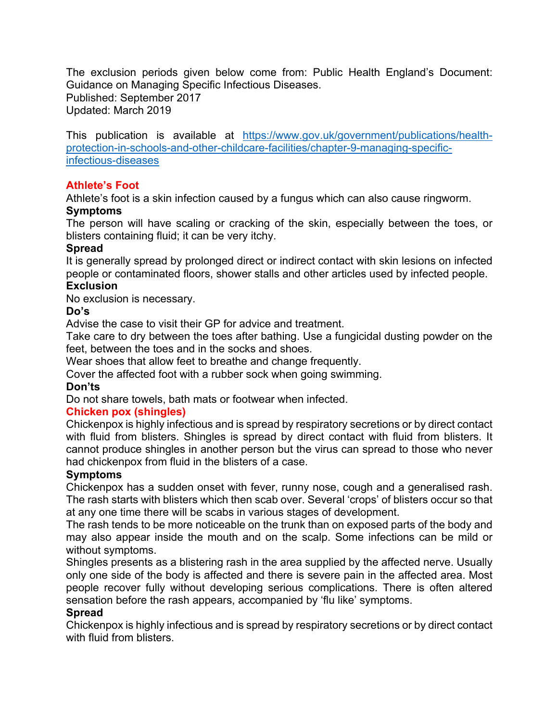The exclusion periods given below come from: Public Health England's Document: Guidance on Managing Specific Infectious Diseases. Published: September 2017 Updated: March 2019

This publication is available at https://www.gov.uk/government/publications/healthprotection-in-schools-and-other-childcare-facilities/chapter-9-managing-specificinfectious-diseases

# **Athlete's Foot**

Athlete's foot is a skin infection caused by a fungus which can also cause ringworm.

# **Symptoms**

The person will have scaling or cracking of the skin, especially between the toes, or blisters containing fluid; it can be very itchy.

#### **Spread**

It is generally spread by prolonged direct or indirect contact with skin lesions on infected people or contaminated floors, shower stalls and other articles used by infected people. **Exclusion**

No exclusion is necessary.

# **Do's**

Advise the case to visit their GP for advice and treatment.

Take care to dry between the toes after bathing. Use a fungicidal dusting powder on the feet, between the toes and in the socks and shoes.

Wear shoes that allow feet to breathe and change frequently.

Cover the affected foot with a rubber sock when going swimming.

# **Don'ts**

Do not share towels, bath mats or footwear when infected.

# **Chicken pox (shingles)**

Chickenpox is highly infectious and is spread by respiratory secretions or by direct contact with fluid from blisters. Shingles is spread by direct contact with fluid from blisters. It cannot produce shingles in another person but the virus can spread to those who never had chickenpox from fluid in the blisters of a case.

# **Symptoms**

Chickenpox has a sudden onset with fever, runny nose, cough and a generalised rash. The rash starts with blisters which then scab over. Several 'crops' of blisters occur so that at any one time there will be scabs in various stages of development.

The rash tends to be more noticeable on the trunk than on exposed parts of the body and may also appear inside the mouth and on the scalp. Some infections can be mild or without symptoms.

Shingles presents as a blistering rash in the area supplied by the affected nerve. Usually only one side of the body is affected and there is severe pain in the affected area. Most people recover fully without developing serious complications. There is often altered sensation before the rash appears, accompanied by 'flu like' symptoms.

# **Spread**

Chickenpox is highly infectious and is spread by respiratory secretions or by direct contact with fluid from blisters.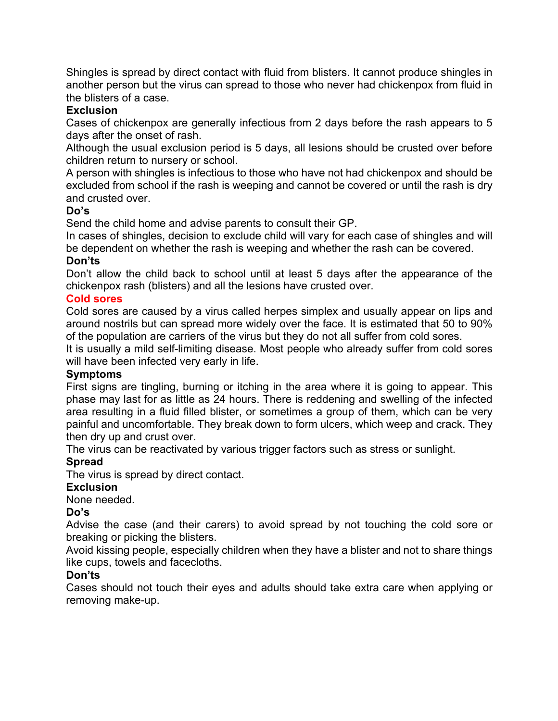Shingles is spread by direct contact with fluid from blisters. It cannot produce shingles in another person but the virus can spread to those who never had chickenpox from fluid in the blisters of a case.

# **Exclusion**

Cases of chickenpox are generally infectious from 2 days before the rash appears to 5 days after the onset of rash.

Although the usual exclusion period is 5 days, all lesions should be crusted over before children return to nursery or school.

A person with shingles is infectious to those who have not had chickenpox and should be excluded from school if the rash is weeping and cannot be covered or until the rash is dry and crusted over.

# **Do's**

Send the child home and advise parents to consult their GP.

In cases of shingles, decision to exclude child will vary for each case of shingles and will be dependent on whether the rash is weeping and whether the rash can be covered.

# **Don'ts**

Don't allow the child back to school until at least 5 days after the appearance of the chickenpox rash (blisters) and all the lesions have crusted over.

# **Cold sores**

Cold sores are caused by a virus called herpes simplex and usually appear on lips and around nostrils but can spread more widely over the face. It is estimated that 50 to 90% of the population are carriers of the virus but they do not all suffer from cold sores.

It is usually a mild self-limiting disease. Most people who already suffer from cold sores will have been infected very early in life.

#### **Symptoms**

First signs are tingling, burning or itching in the area where it is going to appear. This phase may last for as little as 24 hours. There is reddening and swelling of the infected area resulting in a fluid filled blister, or sometimes a group of them, which can be very painful and uncomfortable. They break down to form ulcers, which weep and crack. They then dry up and crust over.

The virus can be reactivated by various trigger factors such as stress or sunlight.

# **Spread**

The virus is spread by direct contact.

# **Exclusion**

None needed.

# **Do's**

Advise the case (and their carers) to avoid spread by not touching the cold sore or breaking or picking the blisters.

Avoid kissing people, especially children when they have a blister and not to share things like cups, towels and facecloths.

# **Don'ts**

Cases should not touch their eyes and adults should take extra care when applying or removing make-up.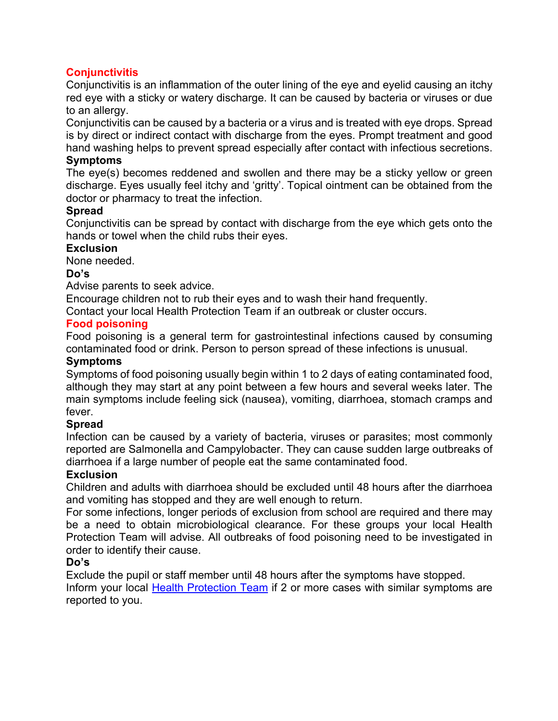# **Conjunctivitis**

Conjunctivitis is an inflammation of the outer lining of the eye and eyelid causing an itchy red eye with a sticky or watery discharge. It can be caused by bacteria or viruses or due to an allergy.

Conjunctivitis can be caused by a bacteria or a virus and is treated with eye drops. Spread is by direct or indirect contact with discharge from the eyes. Prompt treatment and good hand washing helps to prevent spread especially after contact with infectious secretions.

#### **Symptoms**

The eye(s) becomes reddened and swollen and there may be a sticky yellow or green discharge. Eyes usually feel itchy and 'gritty'. Topical ointment can be obtained from the doctor or pharmacy to treat the infection.

#### **Spread**

Conjunctivitis can be spread by contact with discharge from the eye which gets onto the hands or towel when the child rubs their eyes.

#### **Exclusion**

None needed.

#### **Do's**

Advise parents to seek advice.

Encourage children not to rub their eyes and to wash their hand frequently.

Contact your local Health Protection Team if an outbreak or cluster occurs.

#### **Food poisoning**

Food poisoning is a general term for gastrointestinal infections caused by consuming contaminated food or drink. Person to person spread of these infections is unusual.

#### **Symptoms**

Symptoms of food poisoning usually begin within 1 to 2 days of eating contaminated food, although they may start at any point between a few hours and several weeks later. The main symptoms include feeling sick (nausea), vomiting, diarrhoea, stomach cramps and fever.

#### **Spread**

Infection can be caused by a variety of bacteria, viruses or parasites; most commonly reported are Salmonella and Campylobacter. They can cause sudden large outbreaks of diarrhoea if a large number of people eat the same contaminated food.

#### **Exclusion**

Children and adults with diarrhoea should be excluded until 48 hours after the diarrhoea and vomiting has stopped and they are well enough to return.

For some infections, longer periods of exclusion from school are required and there may be a need to obtain microbiological clearance. For these groups your local Health Protection Team will advise. All outbreaks of food poisoning need to be investigated in order to identify their cause.

#### **Do's**

Exclude the pupil or staff member until 48 hours after the symptoms have stopped.

Inform your local Health Protection Team if 2 or more cases with similar symptoms are reported to you.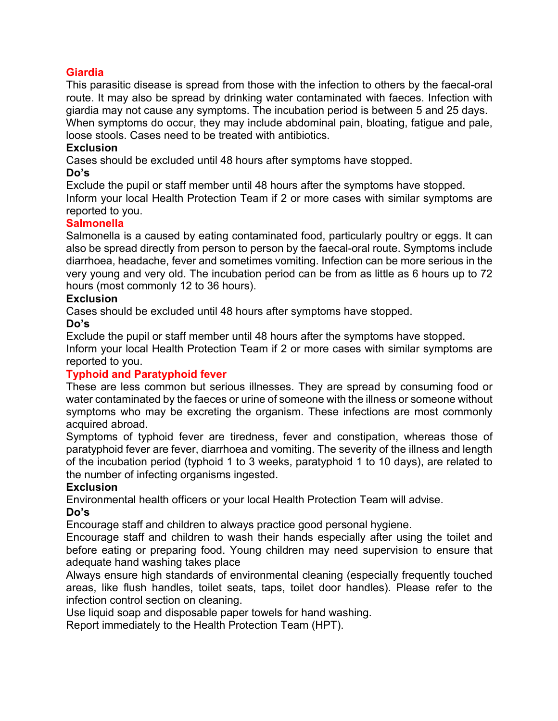# **Giardia**

This parasitic disease is spread from those with the infection to others by the faecal-oral route. It may also be spread by drinking water contaminated with faeces. Infection with giardia may not cause any symptoms. The incubation period is between 5 and 25 days. When symptoms do occur, they may include abdominal pain, bloating, fatigue and pale, loose stools. Cases need to be treated with antibiotics.

## **Exclusion**

Cases should be excluded until 48 hours after symptoms have stopped.

#### **Do's**

Exclude the pupil or staff member until 48 hours after the symptoms have stopped. Inform your local Health Protection Team if 2 or more cases with similar symptoms are reported to you.

#### **Salmonella**

Salmonella is a caused by eating contaminated food, particularly poultry or eggs. It can also be spread directly from person to person by the faecal-oral route. Symptoms include diarrhoea, headache, fever and sometimes vomiting. Infection can be more serious in the very young and very old. The incubation period can be from as little as 6 hours up to 72 hours (most commonly 12 to 36 hours).

# **Exclusion**

Cases should be excluded until 48 hours after symptoms have stopped.

# **Do's**

Exclude the pupil or staff member until 48 hours after the symptoms have stopped.

Inform your local Health Protection Team if 2 or more cases with similar symptoms are reported to you.

# **Typhoid and Paratyphoid fever**

These are less common but serious illnesses. They are spread by consuming food or water contaminated by the faeces or urine of someone with the illness or someone without symptoms who may be excreting the organism. These infections are most commonly acquired abroad.

Symptoms of typhoid fever are tiredness, fever and constipation, whereas those of paratyphoid fever are fever, diarrhoea and vomiting. The severity of the illness and length of the incubation period (typhoid 1 to 3 weeks, paratyphoid 1 to 10 days), are related to the number of infecting organisms ingested.

# **Exclusion**

Environmental health officers or your local Health Protection Team will advise.

# **Do's**

Encourage staff and children to always practice good personal hygiene.

Encourage staff and children to wash their hands especially after using the toilet and before eating or preparing food. Young children may need supervision to ensure that adequate hand washing takes place

Always ensure high standards of environmental cleaning (especially frequently touched areas, like flush handles, toilet seats, taps, toilet door handles). Please refer to the infection control section on cleaning.

Use liquid soap and disposable paper towels for hand washing.

Report immediately to the Health Protection Team (HPT).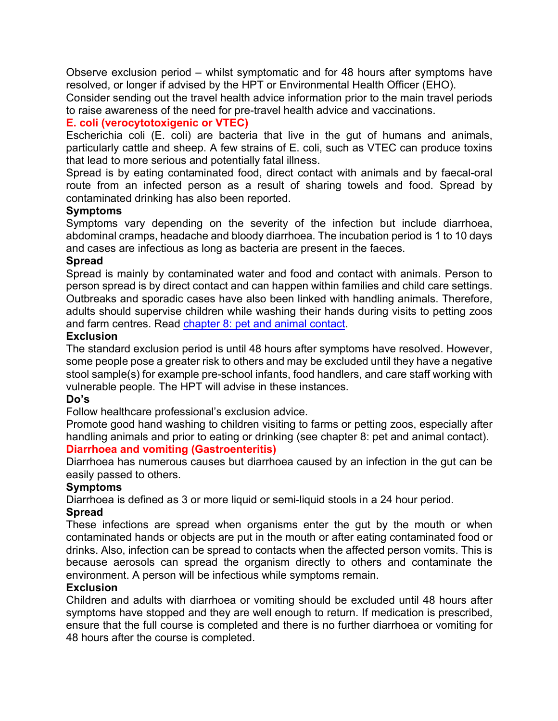Observe exclusion period – whilst symptomatic and for 48 hours after symptoms have resolved, or longer if advised by the HPT or Environmental Health Officer (EHO).

Consider sending out the travel health advice information prior to the main travel periods to raise awareness of the need for pre-travel health advice and vaccinations.

# **E. coli (verocytotoxigenic or VTEC)**

Escherichia coli (E. coli) are bacteria that live in the gut of humans and animals, particularly cattle and sheep. A few strains of E. coli, such as VTEC can produce toxins that lead to more serious and potentially fatal illness.

Spread is by eating contaminated food, direct contact with animals and by faecal-oral route from an infected person as a result of sharing towels and food. Spread by contaminated drinking has also been reported.

# **Symptoms**

Symptoms vary depending on the severity of the infection but include diarrhoea, abdominal cramps, headache and bloody diarrhoea. The incubation period is 1 to 10 days and cases are infectious as long as bacteria are present in the faeces.

# **Spread**

Spread is mainly by contaminated water and food and contact with animals. Person to person spread is by direct contact and can happen within families and child care settings. Outbreaks and sporadic cases have also been linked with handling animals. Therefore, adults should supervise children while washing their hands during visits to petting zoos and farm centres. Read chapter 8: pet and animal contact.

# **Exclusion**

The standard exclusion period is until 48 hours after symptoms have resolved. However, some people pose a greater risk to others and may be excluded until they have a negative stool sample(s) for example pre-school infants, food handlers, and care staff working with vulnerable people. The HPT will advise in these instances.

#### **Do's**

Follow healthcare professional's exclusion advice.

Promote good hand washing to children visiting to farms or petting zoos, especially after handling animals and prior to eating or drinking (see chapter 8: pet and animal contact).

#### **Diarrhoea and vomiting (Gastroenteritis)**

Diarrhoea has numerous causes but diarrhoea caused by an infection in the gut can be easily passed to others.

#### **Symptoms**

Diarrhoea is defined as 3 or more liquid or semi-liquid stools in a 24 hour period.

# **Spread**

These infections are spread when organisms enter the gut by the mouth or when contaminated hands or objects are put in the mouth or after eating contaminated food or drinks. Also, infection can be spread to contacts when the affected person vomits. This is because aerosols can spread the organism directly to others and contaminate the environment. A person will be infectious while symptoms remain.

#### **Exclusion**

Children and adults with diarrhoea or vomiting should be excluded until 48 hours after symptoms have stopped and they are well enough to return. If medication is prescribed, ensure that the full course is completed and there is no further diarrhoea or vomiting for 48 hours after the course is completed.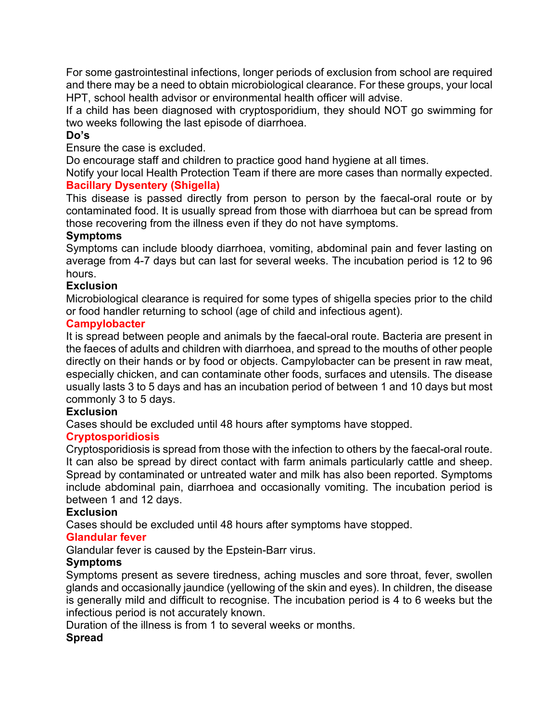For some gastrointestinal infections, longer periods of exclusion from school are required and there may be a need to obtain microbiological clearance. For these groups, your local HPT, school health advisor or environmental health officer will advise.

If a child has been diagnosed with cryptosporidium, they should NOT go swimming for two weeks following the last episode of diarrhoea.

## **Do's**

Ensure the case is excluded.

Do encourage staff and children to practice good hand hygiene at all times.

Notify your local Health Protection Team if there are more cases than normally expected. **Bacillary Dysentery (Shigella)**

This disease is passed directly from person to person by the faecal-oral route or by contaminated food. It is usually spread from those with diarrhoea but can be spread from those recovering from the illness even if they do not have symptoms.

#### **Symptoms**

Symptoms can include bloody diarrhoea, vomiting, abdominal pain and fever lasting on average from 4-7 days but can last for several weeks. The incubation period is 12 to 96 hours.

# **Exclusion**

Microbiological clearance is required for some types of shigella species prior to the child or food handler returning to school (age of child and infectious agent).

#### **Campylobacter**

It is spread between people and animals by the faecal-oral route. Bacteria are present in the faeces of adults and children with diarrhoea, and spread to the mouths of other people directly on their hands or by food or objects. Campylobacter can be present in raw meat, especially chicken, and can contaminate other foods, surfaces and utensils. The disease usually lasts 3 to 5 days and has an incubation period of between 1 and 10 days but most commonly 3 to 5 days.

#### **Exclusion**

Cases should be excluded until 48 hours after symptoms have stopped.

# **Cryptosporidiosis**

Cryptosporidiosis is spread from those with the infection to others by the faecal-oral route. It can also be spread by direct contact with farm animals particularly cattle and sheep. Spread by contaminated or untreated water and milk has also been reported. Symptoms include abdominal pain, diarrhoea and occasionally vomiting. The incubation period is between 1 and 12 days.

#### **Exclusion**

Cases should be excluded until 48 hours after symptoms have stopped.

# **Glandular fever**

Glandular fever is caused by the Epstein-Barr virus.

# **Symptoms**

Symptoms present as severe tiredness, aching muscles and sore throat, fever, swollen glands and occasionally jaundice (yellowing of the skin and eyes). In children, the disease is generally mild and difficult to recognise. The incubation period is 4 to 6 weeks but the infectious period is not accurately known.

Duration of the illness is from 1 to several weeks or months.

# **Spread**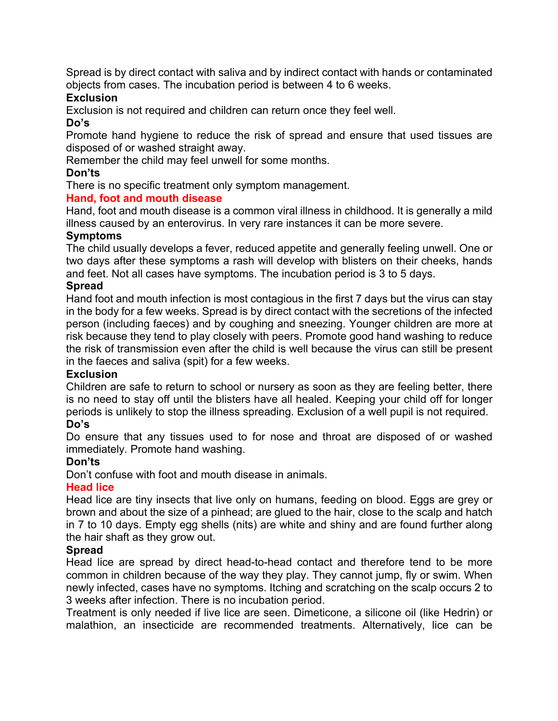Spread is by direct contact with saliva and by indirect contact with hands or contaminated objects from cases. The incubation period is between 4 to 6 weeks.

## **Exclusion**

Exclusion is not required and children can return once they feel well.

#### **Do's**

Promote hand hygiene to reduce the risk of spread and ensure that used tissues are disposed of or washed straight away.

Remember the child may feel unwell for some months.

## **Don'ts**

There is no specific treatment only symptom management.

# **Hand, foot and mouth disease**

Hand, foot and mouth disease is a common viral illness in childhood. It is generally a mild illness caused by an enterovirus. In very rare instances it can be more severe.

#### **Symptoms**

The child usually develops a fever, reduced appetite and generally feeling unwell. One or two days after these symptoms a rash will develop with blisters on their cheeks, hands and feet. Not all cases have symptoms. The incubation period is 3 to 5 days.

#### **Spread**

Hand foot and mouth infection is most contagious in the first 7 days but the virus can stay in the body for a few weeks. Spread is by direct contact with the secretions of the infected person (including faeces) and by coughing and sneezing. Younger children are more at risk because they tend to play closely with peers. Promote good hand washing to reduce the risk of transmission even after the child is well because the virus can still be present in the faeces and saliva (spit) for a few weeks.

#### **Exclusion**

Children are safe to return to school or nursery as soon as they are feeling better, there is no need to stay off until the blisters have all healed. Keeping your child off for longer periods is unlikely to stop the illness spreading. Exclusion of a well pupil is not required.

### **Do's**

Do ensure that any tissues used to for nose and throat are disposed of or washed immediately. Promote hand washing.

# **Don'ts**

Don't confuse with foot and mouth disease in animals.

# **Head lice**

Head lice are tiny insects that live only on humans, feeding on blood. Eggs are grey or brown and about the size of a pinhead; are glued to the hair, close to the scalp and hatch in 7 to 10 days. Empty egg shells (nits) are white and shiny and are found further along the hair shaft as they grow out.

#### **Spread**

Head lice are spread by direct head-to-head contact and therefore tend to be more common in children because of the way they play. They cannot jump, fly or swim. When newly infected, cases have no symptoms. Itching and scratching on the scalp occurs 2 to 3 weeks after infection. There is no incubation period.

Treatment is only needed if live lice are seen. Dimeticone, a silicone oil (like Hedrin) or malathion, an insecticide are recommended treatments. Alternatively, lice can be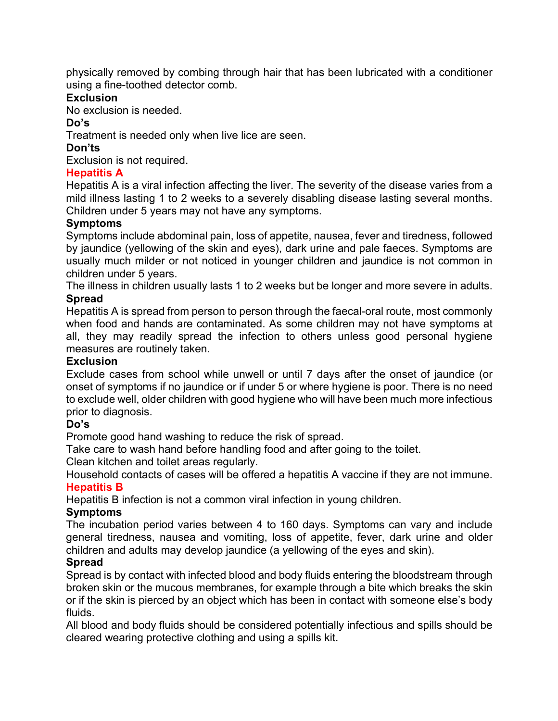physically removed by combing through hair that has been lubricated with a conditioner using a fine-toothed detector comb.

# **Exclusion**

No exclusion is needed.

# **Do's**

Treatment is needed only when live lice are seen.

# **Don'ts**

Exclusion is not required.

# **Hepatitis A**

Hepatitis A is a viral infection affecting the liver. The severity of the disease varies from a mild illness lasting 1 to 2 weeks to a severely disabling disease lasting several months. Children under 5 years may not have any symptoms.

# **Symptoms**

Symptoms include abdominal pain, loss of appetite, nausea, fever and tiredness, followed by jaundice (yellowing of the skin and eyes), dark urine and pale faeces. Symptoms are usually much milder or not noticed in younger children and jaundice is not common in children under 5 years.

The illness in children usually lasts 1 to 2 weeks but be longer and more severe in adults. **Spread**

Hepatitis A is spread from person to person through the faecal-oral route, most commonly when food and hands are contaminated. As some children may not have symptoms at all, they may readily spread the infection to others unless good personal hygiene measures are routinely taken.

# **Exclusion**

Exclude cases from school while unwell or until 7 days after the onset of jaundice (or onset of symptoms if no jaundice or if under 5 or where hygiene is poor. There is no need to exclude well, older children with good hygiene who will have been much more infectious prior to diagnosis.

# **Do's**

Promote good hand washing to reduce the risk of spread.

Take care to wash hand before handling food and after going to the toilet.

Clean kitchen and toilet areas regularly.

Household contacts of cases will be offered a hepatitis A vaccine if they are not immune. **Hepatitis B**

Hepatitis B infection is not a common viral infection in young children.

# **Symptoms**

The incubation period varies between 4 to 160 days. Symptoms can vary and include general tiredness, nausea and vomiting, loss of appetite, fever, dark urine and older children and adults may develop jaundice (a yellowing of the eyes and skin).

# **Spread**

Spread is by contact with infected blood and body fluids entering the bloodstream through broken skin or the mucous membranes, for example through a bite which breaks the skin or if the skin is pierced by an object which has been in contact with someone else's body fluids.

All blood and body fluids should be considered potentially infectious and spills should be cleared wearing protective clothing and using a spills kit.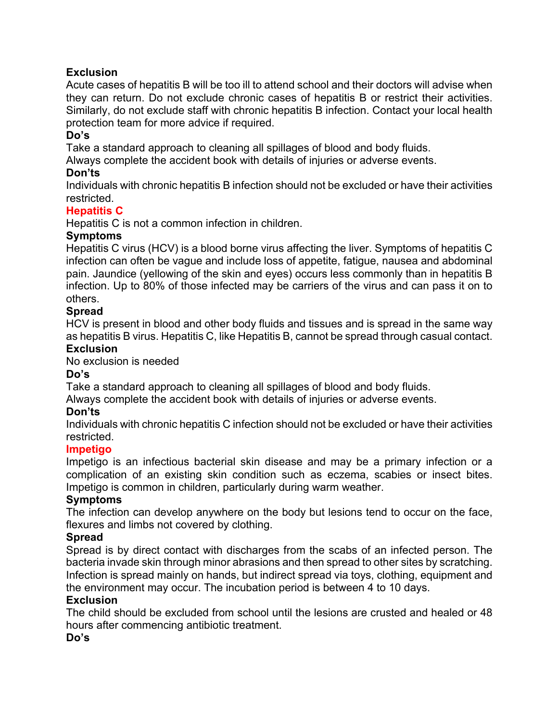# **Exclusion**

Acute cases of hepatitis B will be too ill to attend school and their doctors will advise when they can return. Do not exclude chronic cases of hepatitis B or restrict their activities. Similarly, do not exclude staff with chronic hepatitis B infection. Contact your local health protection team for more advice if required.

## **Do's**

Take a standard approach to cleaning all spillages of blood and body fluids.

Always complete the accident book with details of injuries or adverse events.

# **Don'ts**

Individuals with chronic hepatitis B infection should not be excluded or have their activities restricted.

# **Hepatitis C**

Hepatitis C is not a common infection in children.

#### **Symptoms**

Hepatitis C virus (HCV) is a blood borne virus affecting the liver. Symptoms of hepatitis C infection can often be vague and include loss of appetite, fatigue, nausea and abdominal pain. Jaundice (yellowing of the skin and eyes) occurs less commonly than in hepatitis B infection. Up to 80% of those infected may be carriers of the virus and can pass it on to others.

#### **Spread**

HCV is present in blood and other body fluids and tissues and is spread in the same way as hepatitis B virus. Hepatitis C, like Hepatitis B, cannot be spread through casual contact.

#### **Exclusion**

No exclusion is needed

#### **Do's**

Take a standard approach to cleaning all spillages of blood and body fluids.

Always complete the accident book with details of injuries or adverse events.

#### **Don'ts**

Individuals with chronic hepatitis C infection should not be excluded or have their activities restricted.

#### **Impetigo**

Impetigo is an infectious bacterial skin disease and may be a primary infection or a complication of an existing skin condition such as eczema, scabies or insect bites. Impetigo is common in children, particularly during warm weather.

#### **Symptoms**

The infection can develop anywhere on the body but lesions tend to occur on the face, flexures and limbs not covered by clothing.

#### **Spread**

Spread is by direct contact with discharges from the scabs of an infected person. The bacteria invade skin through minor abrasions and then spread to other sites by scratching. Infection is spread mainly on hands, but indirect spread via toys, clothing, equipment and the environment may occur. The incubation period is between 4 to 10 days.

#### **Exclusion**

The child should be excluded from school until the lesions are crusted and healed or 48 hours after commencing antibiotic treatment.

#### **Do's**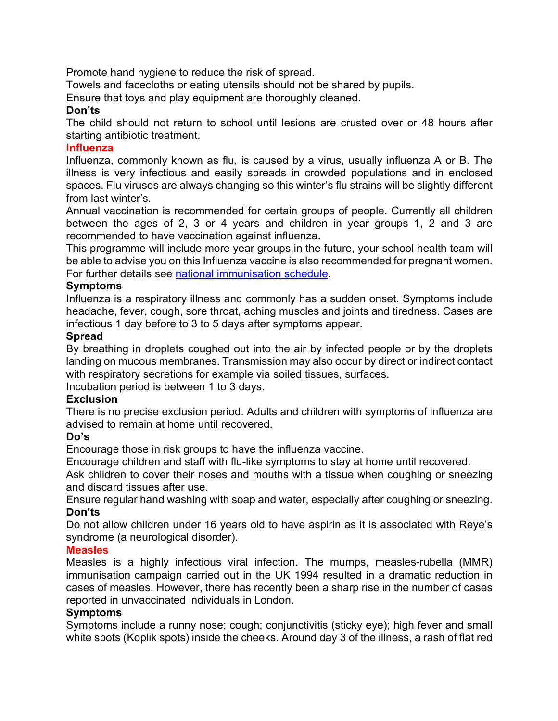Promote hand hygiene to reduce the risk of spread.

Towels and facecloths or eating utensils should not be shared by pupils.

Ensure that toys and play equipment are thoroughly cleaned.

#### **Don'ts**

The child should not return to school until lesions are crusted over or 48 hours after starting antibiotic treatment.

#### **Influenza**

Influenza, commonly known as flu, is caused by a virus, usually influenza A or B. The illness is very infectious and easily spreads in crowded populations and in enclosed spaces. Flu viruses are always changing so this winter's flu strains will be slightly different from last winter's.

Annual vaccination is recommended for certain groups of people. Currently all children between the ages of 2, 3 or 4 years and children in year groups 1, 2 and 3 are recommended to have vaccination against influenza.

This programme will include more year groups in the future, your school health team will be able to advise you on this Influenza vaccine is also recommended for pregnant women. For further details see national immunisation schedule.

#### **Symptoms**

Influenza is a respiratory illness and commonly has a sudden onset. Symptoms include headache, fever, cough, sore throat, aching muscles and joints and tiredness. Cases are infectious 1 day before to 3 to 5 days after symptoms appear.

#### **Spread**

By breathing in droplets coughed out into the air by infected people or by the droplets landing on mucous membranes. Transmission may also occur by direct or indirect contact with respiratory secretions for example via soiled tissues, surfaces.

Incubation period is between 1 to 3 days.

#### **Exclusion**

There is no precise exclusion period. Adults and children with symptoms of influenza are advised to remain at home until recovered.

#### **Do's**

Encourage those in risk groups to have the influenza vaccine.

Encourage children and staff with flu-like symptoms to stay at home until recovered.

Ask children to cover their noses and mouths with a tissue when coughing or sneezing and discard tissues after use.

Ensure regular hand washing with soap and water, especially after coughing or sneezing. **Don'ts**

Do not allow children under 16 years old to have aspirin as it is associated with Reye's syndrome (a neurological disorder).

#### **Measles**

Measles is a highly infectious viral infection. The mumps, measles-rubella (MMR) immunisation campaign carried out in the UK 1994 resulted in a dramatic reduction in cases of measles. However, there has recently been a sharp rise in the number of cases reported in unvaccinated individuals in London.

#### **Symptoms**

Symptoms include a runny nose; cough; conjunctivitis (sticky eye); high fever and small white spots (Koplik spots) inside the cheeks. Around day 3 of the illness, a rash of flat red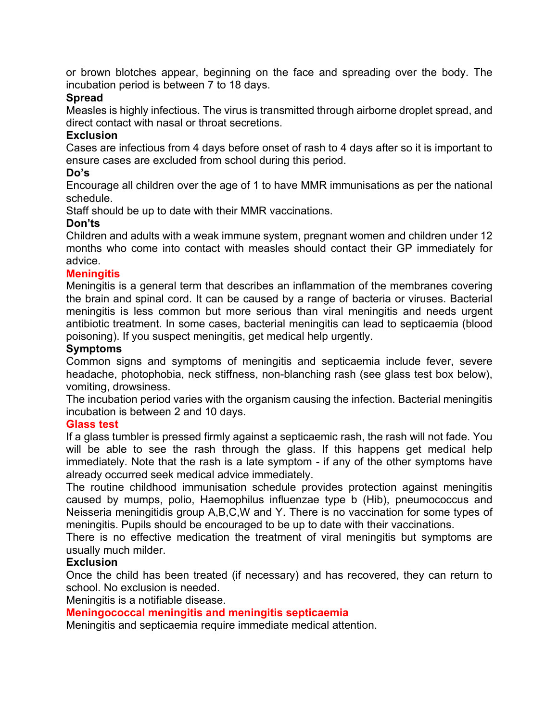or brown blotches appear, beginning on the face and spreading over the body. The incubation period is between 7 to 18 days.

#### **Spread**

Measles is highly infectious. The virus is transmitted through airborne droplet spread, and direct contact with nasal or throat secretions.

#### **Exclusion**

Cases are infectious from 4 days before onset of rash to 4 days after so it is important to ensure cases are excluded from school during this period.

#### **Do's**

Encourage all children over the age of 1 to have MMR immunisations as per the national schedule.

Staff should be up to date with their MMR vaccinations.

#### **Don'ts**

Children and adults with a weak immune system, pregnant women and children under 12 months who come into contact with measles should contact their GP immediately for advice.

#### **Meningitis**

Meningitis is a general term that describes an inflammation of the membranes covering the brain and spinal cord. It can be caused by a range of bacteria or viruses. Bacterial meningitis is less common but more serious than viral meningitis and needs urgent antibiotic treatment. In some cases, bacterial meningitis can lead to septicaemia (blood poisoning). If you suspect meningitis, get medical help urgently.

#### **Symptoms**

Common signs and symptoms of meningitis and septicaemia include fever, severe headache, photophobia, neck stiffness, non-blanching rash (see glass test box below), vomiting, drowsiness.

The incubation period varies with the organism causing the infection. Bacterial meningitis incubation is between 2 and 10 days.

#### **Glass test**

If a glass tumbler is pressed firmly against a septicaemic rash, the rash will not fade. You will be able to see the rash through the glass. If this happens get medical help immediately. Note that the rash is a late symptom - if any of the other symptoms have already occurred seek medical advice immediately.

The routine childhood immunisation schedule provides protection against meningitis caused by mumps, polio, Haemophilus influenzae type b (Hib), pneumococcus and Neisseria meningitidis group A,B,C,W and Y. There is no vaccination for some types of meningitis. Pupils should be encouraged to be up to date with their vaccinations.

There is no effective medication the treatment of viral meningitis but symptoms are usually much milder.

### **Exclusion**

Once the child has been treated (if necessary) and has recovered, they can return to school. No exclusion is needed.

Meningitis is a notifiable disease.

#### **Meningococcal meningitis and meningitis septicaemia**

Meningitis and septicaemia require immediate medical attention.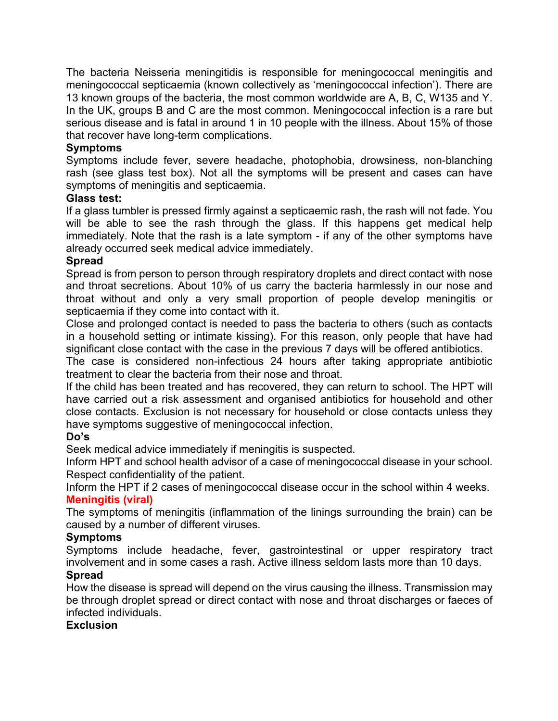The bacteria Neisseria meningitidis is responsible for meningococcal meningitis and meningococcal septicaemia (known collectively as 'meningococcal infection'). There are 13 known groups of the bacteria, the most common worldwide are A, B, C, W135 and Y. In the UK, groups B and C are the most common. Meningococcal infection is a rare but serious disease and is fatal in around 1 in 10 people with the illness. About 15% of those that recover have long-term complications.

# **Symptoms**

Symptoms include fever, severe headache, photophobia, drowsiness, non-blanching rash (see glass test box). Not all the symptoms will be present and cases can have symptoms of meningitis and septicaemia.

#### **Glass test:**

If a glass tumbler is pressed firmly against a septicaemic rash, the rash will not fade. You will be able to see the rash through the glass. If this happens get medical help immediately. Note that the rash is a late symptom - if any of the other symptoms have already occurred seek medical advice immediately.

#### **Spread**

Spread is from person to person through respiratory droplets and direct contact with nose and throat secretions. About 10% of us carry the bacteria harmlessly in our nose and throat without and only a very small proportion of people develop meningitis or septicaemia if they come into contact with it.

Close and prolonged contact is needed to pass the bacteria to others (such as contacts in a household setting or intimate kissing). For this reason, only people that have had significant close contact with the case in the previous 7 days will be offered antibiotics.

The case is considered non-infectious 24 hours after taking appropriate antibiotic treatment to clear the bacteria from their nose and throat.

If the child has been treated and has recovered, they can return to school. The HPT will have carried out a risk assessment and organised antibiotics for household and other close contacts. Exclusion is not necessary for household or close contacts unless they have symptoms suggestive of meningococcal infection.

#### **Do's**

Seek medical advice immediately if meningitis is suspected.

Inform HPT and school health advisor of a case of meningococcal disease in your school. Respect confidentiality of the patient.

Inform the HPT if 2 cases of meningococcal disease occur in the school within 4 weeks. **Meningitis (viral)**

The symptoms of meningitis (inflammation of the linings surrounding the brain) can be caused by a number of different viruses.

# **Symptoms**

Symptoms include headache, fever, gastrointestinal or upper respiratory tract involvement and in some cases a rash. Active illness seldom lasts more than 10 days.

# **Spread**

How the disease is spread will depend on the virus causing the illness. Transmission may be through droplet spread or direct contact with nose and throat discharges or faeces of infected individuals.

# **Exclusion**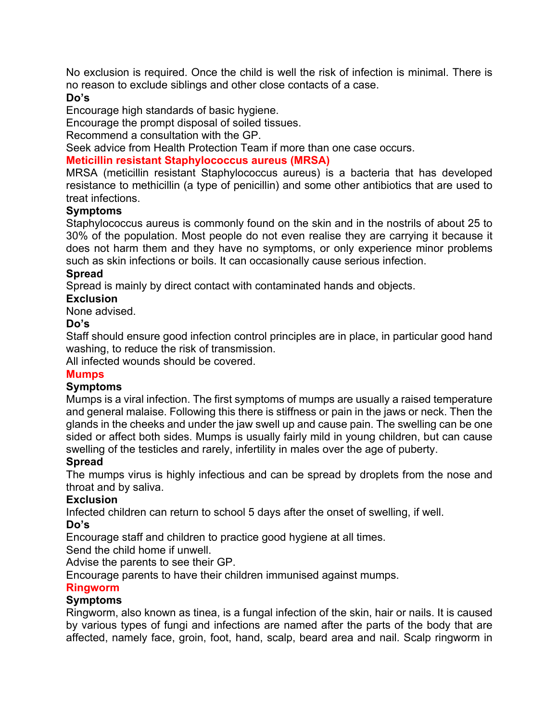No exclusion is required. Once the child is well the risk of infection is minimal. There is no reason to exclude siblings and other close contacts of a case.

#### **Do's**

Encourage high standards of basic hygiene.

Encourage the prompt disposal of soiled tissues.

Recommend a consultation with the GP.

Seek advice from Health Protection Team if more than one case occurs.

#### **Meticillin resistant Staphylococcus aureus (MRSA)**

MRSA (meticillin resistant Staphylococcus aureus) is a bacteria that has developed resistance to methicillin (a type of penicillin) and some other antibiotics that are used to treat infections.

#### **Symptoms**

Staphylococcus aureus is commonly found on the skin and in the nostrils of about 25 to 30% of the population. Most people do not even realise they are carrying it because it does not harm them and they have no symptoms, or only experience minor problems such as skin infections or boils. It can occasionally cause serious infection.

#### **Spread**

Spread is mainly by direct contact with contaminated hands and objects.

#### **Exclusion**

None advised.

#### **Do's**

Staff should ensure good infection control principles are in place, in particular good hand washing, to reduce the risk of transmission.

All infected wounds should be covered.

#### **Mumps**

#### **Symptoms**

Mumps is a viral infection. The first symptoms of mumps are usually a raised temperature and general malaise. Following this there is stiffness or pain in the jaws or neck. Then the glands in the cheeks and under the jaw swell up and cause pain. The swelling can be one sided or affect both sides. Mumps is usually fairly mild in young children, but can cause swelling of the testicles and rarely, infertility in males over the age of puberty.

#### **Spread**

The mumps virus is highly infectious and can be spread by droplets from the nose and throat and by saliva.

#### **Exclusion**

Infected children can return to school 5 days after the onset of swelling, if well. **Do's**

Encourage staff and children to practice good hygiene at all times.

Send the child home if unwell.

Advise the parents to see their GP.

Encourage parents to have their children immunised against mumps.

#### **Ringworm**

# **Symptoms**

Ringworm, also known as tinea, is a fungal infection of the skin, hair or nails. It is caused by various types of fungi and infections are named after the parts of the body that are affected, namely face, groin, foot, hand, scalp, beard area and nail. Scalp ringworm in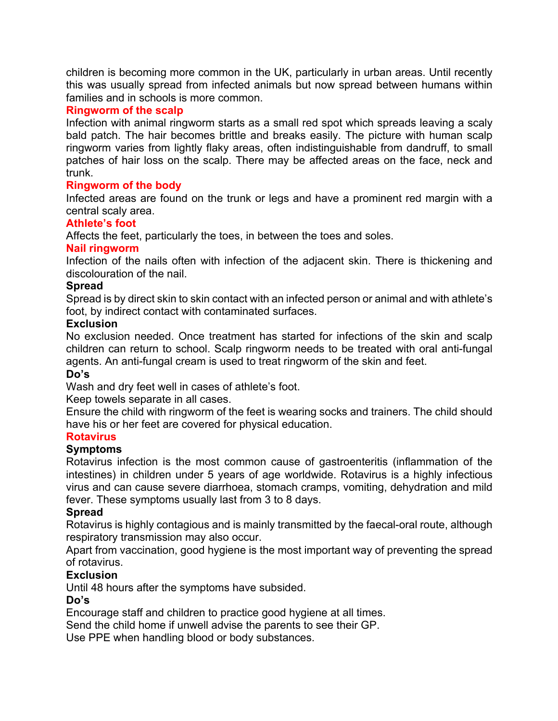children is becoming more common in the UK, particularly in urban areas. Until recently this was usually spread from infected animals but now spread between humans within families and in schools is more common.

# **Ringworm of the scalp**

Infection with animal ringworm starts as a small red spot which spreads leaving a scaly bald patch. The hair becomes brittle and breaks easily. The picture with human scalp ringworm varies from lightly flaky areas, often indistinguishable from dandruff, to small patches of hair loss on the scalp. There may be affected areas on the face, neck and trunk.

# **Ringworm of the body**

Infected areas are found on the trunk or legs and have a prominent red margin with a central scaly area.

### **Athlete's foot**

Affects the feet, particularly the toes, in between the toes and soles.

# **Nail ringworm**

Infection of the nails often with infection of the adjacent skin. There is thickening and discolouration of the nail.

#### **Spread**

Spread is by direct skin to skin contact with an infected person or animal and with athlete's foot, by indirect contact with contaminated surfaces.

#### **Exclusion**

No exclusion needed. Once treatment has started for infections of the skin and scalp children can return to school. Scalp ringworm needs to be treated with oral anti-fungal agents. An anti-fungal cream is used to treat ringworm of the skin and feet.

#### **Do's**

Wash and dry feet well in cases of athlete's foot.

Keep towels separate in all cases.

Ensure the child with ringworm of the feet is wearing socks and trainers. The child should have his or her feet are covered for physical education.

#### **Rotavirus**

#### **Symptoms**

Rotavirus infection is the most common cause of gastroenteritis (inflammation of the intestines) in children under 5 years of age worldwide. Rotavirus is a highly infectious virus and can cause severe diarrhoea, stomach cramps, vomiting, dehydration and mild fever. These symptoms usually last from 3 to 8 days.

#### **Spread**

Rotavirus is highly contagious and is mainly transmitted by the faecal-oral route, although respiratory transmission may also occur.

Apart from vaccination, good hygiene is the most important way of preventing the spread of rotavirus.

# **Exclusion**

Until 48 hours after the symptoms have subsided.

#### **Do's**

Encourage staff and children to practice good hygiene at all times.

Send the child home if unwell advise the parents to see their GP.

Use PPE when handling blood or body substances.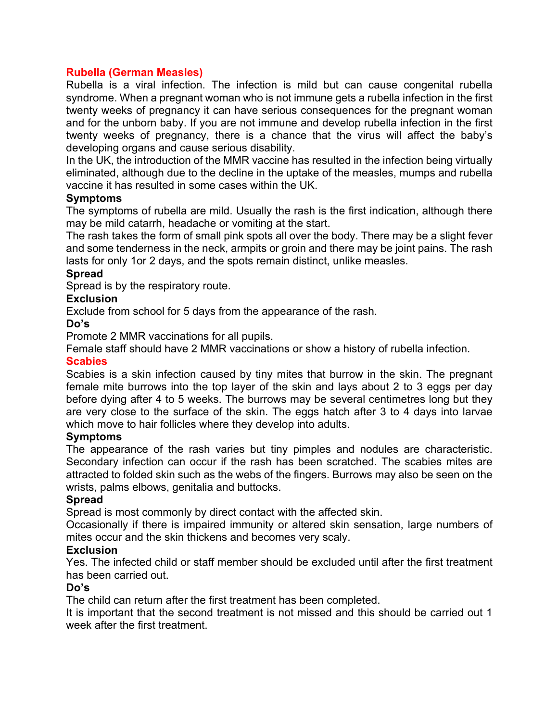#### **Rubella (German Measles)**

Rubella is a viral infection. The infection is mild but can cause congenital rubella syndrome. When a pregnant woman who is not immune gets a rubella infection in the first twenty weeks of pregnancy it can have serious consequences for the pregnant woman and for the unborn baby. If you are not immune and develop rubella infection in the first twenty weeks of pregnancy, there is a chance that the virus will affect the baby's developing organs and cause serious disability.

In the UK, the introduction of the MMR vaccine has resulted in the infection being virtually eliminated, although due to the decline in the uptake of the measles, mumps and rubella vaccine it has resulted in some cases within the UK.

#### **Symptoms**

The symptoms of rubella are mild. Usually the rash is the first indication, although there may be mild catarrh, headache or vomiting at the start.

The rash takes the form of small pink spots all over the body. There may be a slight fever and some tenderness in the neck, armpits or groin and there may be joint pains. The rash lasts for only 1or 2 days, and the spots remain distinct, unlike measles.

#### **Spread**

Spread is by the respiratory route.

#### **Exclusion**

Exclude from school for 5 days from the appearance of the rash.

#### **Do's**

Promote 2 MMR vaccinations for all pupils.

Female staff should have 2 MMR vaccinations or show a history of rubella infection.

#### **Scabies**

Scabies is a skin infection caused by tiny mites that burrow in the skin. The pregnant female mite burrows into the top layer of the skin and lays about 2 to 3 eggs per day before dying after 4 to 5 weeks. The burrows may be several centimetres long but they are very close to the surface of the skin. The eggs hatch after 3 to 4 days into larvae which move to hair follicles where they develop into adults.

#### **Symptoms**

The appearance of the rash varies but tiny pimples and nodules are characteristic. Secondary infection can occur if the rash has been scratched. The scabies mites are attracted to folded skin such as the webs of the fingers. Burrows may also be seen on the wrists, palms elbows, genitalia and buttocks.

#### **Spread**

Spread is most commonly by direct contact with the affected skin.

Occasionally if there is impaired immunity or altered skin sensation, large numbers of mites occur and the skin thickens and becomes very scaly.

#### **Exclusion**

Yes. The infected child or staff member should be excluded until after the first treatment has been carried out.

#### **Do's**

The child can return after the first treatment has been completed.

It is important that the second treatment is not missed and this should be carried out 1 week after the first treatment.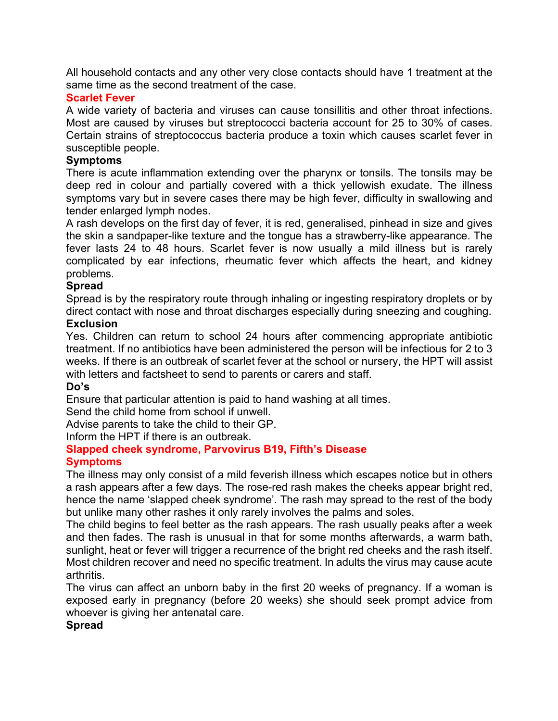All household contacts and any other very close contacts should have 1 treatment at the same time as the second treatment of the case.

#### **Scarlet Fever**

A wide variety of bacteria and viruses can cause tonsillitis and other throat infections. Most are caused by viruses but streptococci bacteria account for 25 to 30% of cases. Certain strains of streptococcus bacteria produce a toxin which causes scarlet fever in susceptible people.

#### **Symptoms**

There is acute inflammation extending over the pharynx or tonsils. The tonsils may be deep red in colour and partially covered with a thick yellowish exudate. The illness symptoms vary but in severe cases there may be high fever, difficulty in swallowing and tender enlarged lymph nodes.

A rash develops on the first day of fever, it is red, generalised, pinhead in size and gives the skin a sandpaper-like texture and the tongue has a strawberry-like appearance. The fever lasts 24 to 48 hours. Scarlet fever is now usually a mild illness but is rarely complicated by ear infections, rheumatic fever which affects the heart, and kidney problems.

# **Spread**

Spread is by the respiratory route through inhaling or ingesting respiratory droplets or by direct contact with nose and throat discharges especially during sneezing and coughing.

#### **Exclusion**

Yes. Children can return to school 24 hours after commencing appropriate antibiotic treatment. If no antibiotics have been administered the person will be infectious for 2 to 3 weeks. If there is an outbreak of scarlet fever at the school or nursery, the HPT will assist with letters and factsheet to send to parents or carers and staff.

#### **Do's**

Ensure that particular attention is paid to hand washing at all times.

Send the child home from school if unwell.

Advise parents to take the child to their GP.

Inform the HPT if there is an outbreak.

#### **Slapped cheek syndrome, Parvovirus B19, Fifth's Disease Symptoms**

The illness may only consist of a mild feverish illness which escapes notice but in others a rash appears after a few days. The rose-red rash makes the cheeks appear bright red, hence the name 'slapped cheek syndrome'. The rash may spread to the rest of the body but unlike many other rashes it only rarely involves the palms and soles.

The child begins to feel better as the rash appears. The rash usually peaks after a week and then fades. The rash is unusual in that for some months afterwards, a warm bath, sunlight, heat or fever will trigger a recurrence of the bright red cheeks and the rash itself. Most children recover and need no specific treatment. In adults the virus may cause acute arthritis.

The virus can affect an unborn baby in the first 20 weeks of pregnancy. If a woman is exposed early in pregnancy (before 20 weeks) she should seek prompt advice from whoever is giving her antenatal care.

#### **Spread**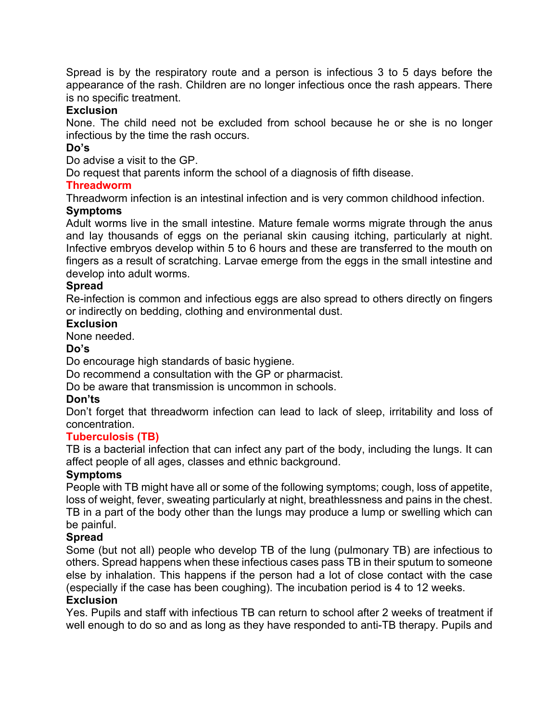Spread is by the respiratory route and a person is infectious 3 to 5 days before the appearance of the rash. Children are no longer infectious once the rash appears. There is no specific treatment.

#### **Exclusion**

None. The child need not be excluded from school because he or she is no longer infectious by the time the rash occurs.

#### **Do's**

Do advise a visit to the GP.

Do request that parents inform the school of a diagnosis of fifth disease.

#### **Threadworm**

Threadworm infection is an intestinal infection and is very common childhood infection.

#### **Symptoms**

Adult worms live in the small intestine. Mature female worms migrate through the anus and lay thousands of eggs on the perianal skin causing itching, particularly at night. Infective embryos develop within 5 to 6 hours and these are transferred to the mouth on fingers as a result of scratching. Larvae emerge from the eggs in the small intestine and develop into adult worms.

#### **Spread**

Re-infection is common and infectious eggs are also spread to others directly on fingers or indirectly on bedding, clothing and environmental dust.

#### **Exclusion**

None needed.

#### **Do's**

Do encourage high standards of basic hygiene.

Do recommend a consultation with the GP or pharmacist.

Do be aware that transmission is uncommon in schools.

#### **Don'ts**

Don't forget that threadworm infection can lead to lack of sleep, irritability and loss of concentration.

#### **Tuberculosis (TB)**

TB is a bacterial infection that can infect any part of the body, including the lungs. It can affect people of all ages, classes and ethnic background.

#### **Symptoms**

People with TB might have all or some of the following symptoms; cough, loss of appetite, loss of weight, fever, sweating particularly at night, breathlessness and pains in the chest. TB in a part of the body other than the lungs may produce a lump or swelling which can be painful.

#### **Spread**

Some (but not all) people who develop TB of the lung (pulmonary TB) are infectious to others. Spread happens when these infectious cases pass TB in their sputum to someone else by inhalation. This happens if the person had a lot of close contact with the case (especially if the case has been coughing). The incubation period is 4 to 12 weeks.

#### **Exclusion**

Yes. Pupils and staff with infectious TB can return to school after 2 weeks of treatment if well enough to do so and as long as they have responded to anti-TB therapy. Pupils and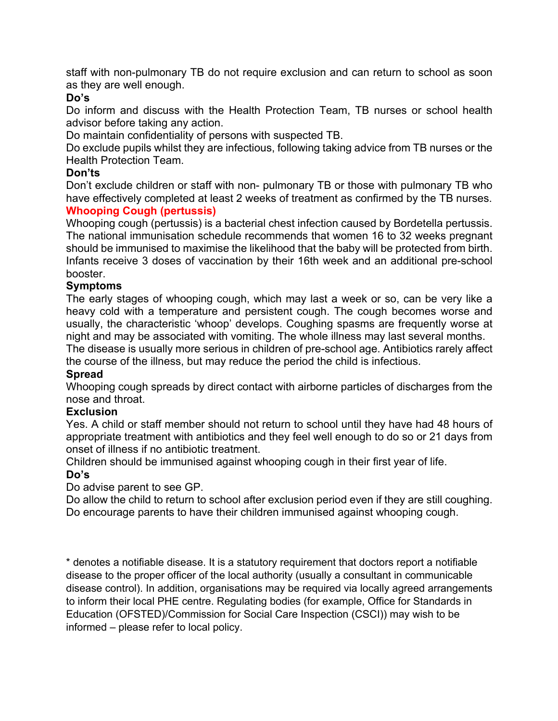staff with non-pulmonary TB do not require exclusion and can return to school as soon as they are well enough.

#### **Do's**

Do inform and discuss with the Health Protection Team, TB nurses or school health advisor before taking any action.

Do maintain confidentiality of persons with suspected TB.

Do exclude pupils whilst they are infectious, following taking advice from TB nurses or the Health Protection Team.

#### **Don'ts**

Don't exclude children or staff with non- pulmonary TB or those with pulmonary TB who have effectively completed at least 2 weeks of treatment as confirmed by the TB nurses. **Whooping Cough (pertussis)**

Whooping cough (pertussis) is a bacterial chest infection caused by Bordetella pertussis. The national immunisation schedule recommends that women 16 to 32 weeks pregnant should be immunised to maximise the likelihood that the baby will be protected from birth. Infants receive 3 doses of vaccination by their 16th week and an additional pre-school booster.

#### **Symptoms**

The early stages of whooping cough, which may last a week or so, can be very like a heavy cold with a temperature and persistent cough. The cough becomes worse and usually, the characteristic 'whoop' develops. Coughing spasms are frequently worse at night and may be associated with vomiting. The whole illness may last several months.

The disease is usually more serious in children of pre-school age. Antibiotics rarely affect the course of the illness, but may reduce the period the child is infectious.

#### **Spread**

Whooping cough spreads by direct contact with airborne particles of discharges from the nose and throat.

#### **Exclusion**

Yes. A child or staff member should not return to school until they have had 48 hours of appropriate treatment with antibiotics and they feel well enough to do so or 21 days from onset of illness if no antibiotic treatment.

Children should be immunised against whooping cough in their first year of life.

#### **Do's**

Do advise parent to see GP.

Do allow the child to return to school after exclusion period even if they are still coughing. Do encourage parents to have their children immunised against whooping cough.

\* denotes a notifiable disease. It is a statutory requirement that doctors report a notifiable disease to the proper officer of the local authority (usually a consultant in communicable disease control). In addition, organisations may be required via locally agreed arrangements to inform their local PHE centre. Regulating bodies (for example, Office for Standards in Education (OFSTED)/Commission for Social Care Inspection (CSCI)) may wish to be informed – please refer to local policy.